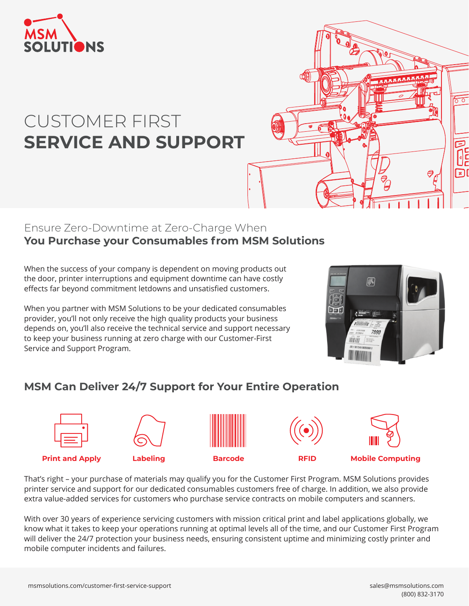

# CUSTOMER FIRST **SERVICE AND SUPPORT**

#### Ensure Zero-Downtime at Zero-Charge When **You Purchase your Consumables from MSM Solutions**

When the success of your company is dependent on moving products out the door, printer interruptions and equipment downtime can have costly effects far beyond commitment letdowns and unsatisfied customers.

When you partner with MSM Solutions to be your dedicated consumables provider, you'll not only receive the high quality products your business depends on, you'll also receive the technical service and support necessary to keep your business running at zero charge with our Customer-First Service and Support Program.



 $\overline{\circ}$ 

## **MSM Can Deliver 24/7 Support for Your Entire Operation**



That's right – your purchase of materials may qualify you for the Customer First Program. MSM Solutions provides printer service and support for our dedicated consumables customers free of charge. In addition, we also provide extra value-added services for customers who purchase service contracts on mobile computers and scanners.

With over 30 years of experience servicing customers with mission critical print and label applications globally, we know what it takes to keep your operations running at optimal levels all of the time, and our Customer First Program will deliver the 24/7 protection your business needs, ensuring consistent uptime and minimizing costly printer and mobile computer incidents and failures.